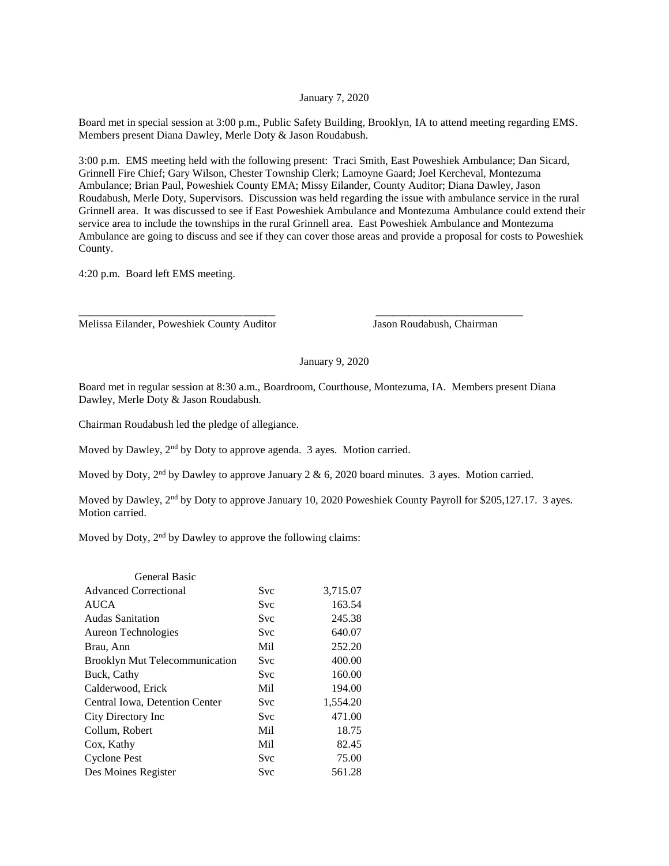## January 7, 2020

Board met in special session at 3:00 p.m., Public Safety Building, Brooklyn, IA to attend meeting regarding EMS. Members present Diana Dawley, Merle Doty & Jason Roudabush.

3:00 p.m. EMS meeting held with the following present: Traci Smith, East Poweshiek Ambulance; Dan Sicard, Grinnell Fire Chief; Gary Wilson, Chester Township Clerk; Lamoyne Gaard; Joel Kercheval, Montezuma Ambulance; Brian Paul, Poweshiek County EMA; Missy Eilander, County Auditor; Diana Dawley, Jason Roudabush, Merle Doty, Supervisors. Discussion was held regarding the issue with ambulance service in the rural Grinnell area. It was discussed to see if East Poweshiek Ambulance and Montezuma Ambulance could extend their service area to include the townships in the rural Grinnell area. East Poweshiek Ambulance and Montezuma Ambulance are going to discuss and see if they can cover those areas and provide a proposal for costs to Poweshiek County.

4:20 p.m. Board left EMS meeting.

Melissa Eilander, Poweshiek County Auditor Jason Roudabush, Chairman

## January 9, 2020

Board met in regular session at 8:30 a.m., Boardroom, Courthouse, Montezuma, IA. Members present Diana Dawley, Merle Doty & Jason Roudabush.

\_\_\_\_\_\_\_\_\_\_\_\_\_\_\_\_\_\_\_\_\_\_\_\_\_\_\_\_\_\_\_\_\_\_\_\_ \_\_\_\_\_\_\_\_\_\_\_\_\_\_\_\_\_\_\_\_\_\_\_\_\_\_\_

Chairman Roudabush led the pledge of allegiance.

Moved by Dawley, 2<sup>nd</sup> by Doty to approve agenda. 3 ayes. Motion carried.

Moved by Doty, 2<sup>nd</sup> by Dawley to approve January 2 & 6, 2020 board minutes. 3 ayes. Motion carried.

Moved by Dawley, 2<sup>nd</sup> by Doty to approve January 10, 2020 Poweshiek County Payroll for \$205,127.17. 3 ayes. Motion carried.

Moved by Doty, 2<sup>nd</sup> by Dawley to approve the following claims:

| <b>General Basic</b>                  |            |          |
|---------------------------------------|------------|----------|
| <b>Advanced Correctional</b>          | Svc        | 3,715.07 |
| <b>AUCA</b>                           | Svc        | 163.54   |
| <b>Audas Sanitation</b>               | Svc        | 245.38   |
| Aureon Technologies                   | <b>Svc</b> | 640.07   |
| Brau, Ann                             | Mil        | 252.20   |
| <b>Brooklyn Mut Telecommunication</b> | <b>Svc</b> | 400.00   |
| Buck, Cathy                           | Svc        | 160.00   |
| Calderwood, Erick                     | Mil        | 194.00   |
| Central Iowa, Detention Center        | Svc        | 1,554.20 |
| City Directory Inc                    | <b>Svc</b> | 471.00   |
| Collum, Robert                        | Mil        | 18.75    |
| Cox, Kathy                            | Mil        | 82.45    |
| <b>Cyclone Pest</b>                   | Svc        | 75.00    |
| Des Moines Register                   | <b>Svc</b> | 561.28   |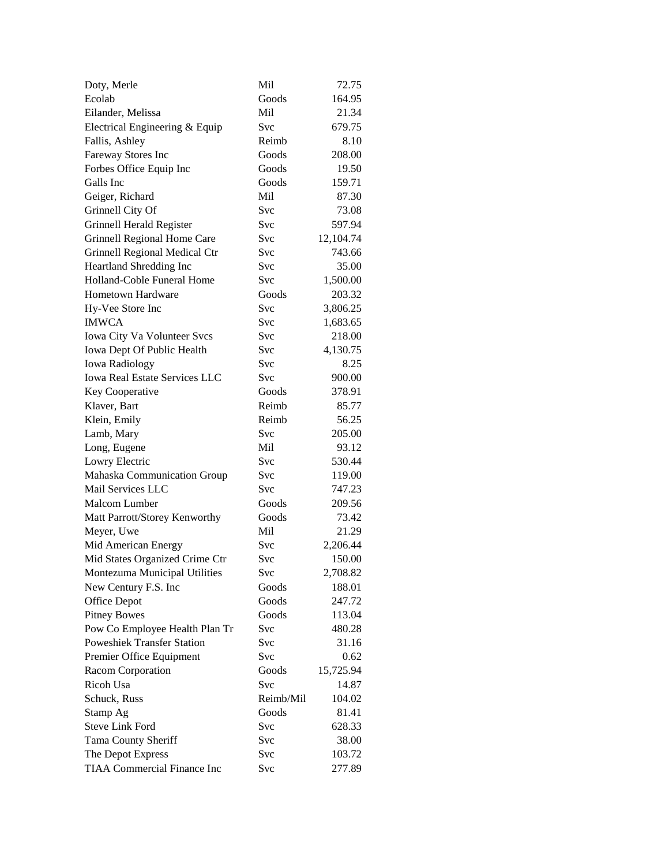| Doty, Merle                                      | Mil        | 72.75            |
|--------------------------------------------------|------------|------------------|
| Ecolab                                           | Goods      | 164.95           |
| Eilander, Melissa                                | Mil        | 21.34            |
| Electrical Engineering & Equip                   | Svc        | 679.75           |
| Fallis, Ashley                                   | Reimb      | 8.10             |
| Fareway Stores Inc                               | Goods      | 208.00           |
| Forbes Office Equip Inc                          | Goods      | 19.50            |
| Galls Inc                                        | Goods      | 159.71           |
| Geiger, Richard                                  | Mil        | 87.30            |
| Grinnell City Of                                 | Svc        | 73.08            |
| Grinnell Herald Register                         | Svc        | 597.94           |
| Grinnell Regional Home Care                      | Svc        | 12,104.74        |
| Grinnell Regional Medical Ctr                    | Svc        | 743.66           |
| Heartland Shredding Inc                          | Svc        | 35.00            |
| Holland-Coble Funeral Home                       | Svc        | 1,500.00         |
| <b>Hometown Hardware</b>                         | Goods      | 203.32           |
| Hy-Vee Store Inc                                 | <b>Svc</b> | 3,806.25         |
| <b>IMWCA</b>                                     | Svc        | 1,683.65         |
| Iowa City Va Volunteer Svcs                      | Svc        | 218.00           |
| Iowa Dept Of Public Health                       | Svc        | 4,130.75         |
| <b>Iowa Radiology</b>                            | Svc        | 8.25             |
| <b>Iowa Real Estate Services LLC</b>             | Svc        | 900.00           |
| Key Cooperative                                  | Goods      | 378.91           |
| Klaver, Bart                                     | Reimb      | 85.77            |
| Klein, Emily                                     | Reimb      | 56.25            |
| Lamb, Mary                                       | Svc        | 205.00           |
| Long, Eugene                                     | Mil        | 93.12            |
|                                                  | Svc        | 530.44           |
| Lowry Electric                                   |            |                  |
| Mahaska Communication Group<br>Mail Services LLC | Svc<br>Svc | 119.00           |
| Malcom Lumber                                    | Goods      | 747.23<br>209.56 |
|                                                  |            |                  |
| Matt Parrott/Storey Kenworthy                    | Goods      | 73.42            |
| Meyer, Uwe                                       | Mil        | 21.29            |
| Mid American Energy                              | Svc        | 2,206.44         |
| Mid States Organized Crime Ctr                   | Svc        | 150.00           |
| Montezuma Municipal Utilities                    | Svc        | 2,708.82         |
| New Century F.S. Inc                             | Goods      | 188.01           |
| Office Depot                                     | Goods      | 247.72           |
| <b>Pitney Bowes</b>                              | Goods      | 113.04           |
| Pow Co Employee Health Plan Tr                   | Svc        | 480.28           |
| <b>Poweshiek Transfer Station</b>                | <b>Svc</b> | 31.16            |
| Premier Office Equipment                         | Svc        | 0.62             |
| Racom Corporation                                | Goods      | 15,725.94        |
| Ricoh Usa                                        | Svc        | 14.87            |
| Schuck, Russ                                     | Reimb/Mil  | 104.02           |
| Stamp Ag                                         | Goods      | 81.41            |
| <b>Steve Link Ford</b>                           | Svc        | 628.33           |
| Tama County Sheriff                              | Svc        | 38.00            |
| The Depot Express                                | Svc        | 103.72           |
| TIAA Commercial Finance Inc                      | Svc        | 277.89           |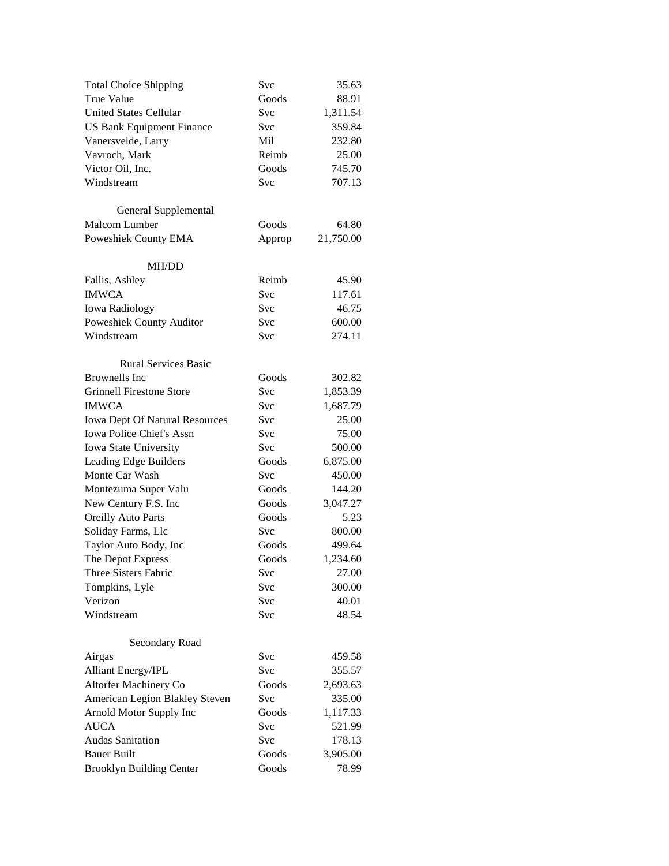| <b>Total Choice Shipping</b>          | Svc    | 35.63     |
|---------------------------------------|--------|-----------|
| <b>True Value</b>                     | Goods  | 88.91     |
| <b>United States Cellular</b>         | Svc    | 1,311.54  |
| <b>US Bank Equipment Finance</b>      | Svc    | 359.84    |
| Vanersvelde, Larry                    | Mil    | 232.80    |
| Vavroch, Mark                         | Reimb  | 25.00     |
| Victor Oil, Inc.                      | Goods  | 745.70    |
| Windstream                            | Svc    | 707.13    |
|                                       |        |           |
| General Supplemental                  |        |           |
| Malcom Lumber                         | Goods  | 64.80     |
| Poweshiek County EMA                  | Approp | 21,750.00 |
|                                       |        |           |
| <b>MH/DD</b>                          |        |           |
| Fallis, Ashley                        | Reimb  | 45.90     |
| <b>IMWCA</b>                          | Svc    | 117.61    |
| <b>Iowa Radiology</b>                 | Svc    | 46.75     |
| Poweshiek County Auditor              | Svc    | 600.00    |
| Windstream                            | Svc    | 274.11    |
|                                       |        |           |
| <b>Rural Services Basic</b>           |        |           |
| <b>Brownells</b> Inc.                 | Goods  | 302.82    |
| <b>Grinnell Firestone Store</b>       | Svc    | 1,853.39  |
| <b>IMWCA</b>                          | Svc    | 1,687.79  |
| <b>Iowa Dept Of Natural Resources</b> | Svc    | 25.00     |
| Iowa Police Chief's Assn              | Svc    | 75.00     |
| Iowa State University                 | Svc    | 500.00    |
| Leading Edge Builders                 | Goods  | 6,875.00  |
| Monte Car Wash                        | Svc    | 450.00    |
| Montezuma Super Valu                  | Goods  | 144.20    |
| New Century F.S. Inc                  | Goods  | 3,047.27  |
| <b>Oreilly Auto Parts</b>             | Goods  | 5.23      |
| Soliday Farms, Llc                    | Svc    | 800.00    |
| Taylor Auto Body, Inc                 | Goods  | 499.64    |
| The Depot Express                     | Goods  | 1,234.60  |
| Three Sisters Fabric                  | Svc    | 27.00     |
| Tompkins, Lyle                        | Svc    | 300.00    |
| Verizon                               | Svc    | 40.01     |
| Windstream                            | Svc    | 48.54     |
|                                       |        |           |
| Secondary Road                        |        |           |
| Airgas                                | Svc    | 459.58    |
| <b>Alliant Energy/IPL</b>             | Svc    | 355.57    |
| Altorfer Machinery Co                 | Goods  | 2,693.63  |
| American Legion Blakley Steven        | Svc    | 335.00    |
| Arnold Motor Supply Inc               | Goods  | 1,117.33  |
| <b>AUCA</b>                           | Svc    | 521.99    |
| <b>Audas Sanitation</b>               | Svc    | 178.13    |
| <b>Bauer Built</b>                    | Goods  | 3,905.00  |
| <b>Brooklyn Building Center</b>       | Goods  | 78.99     |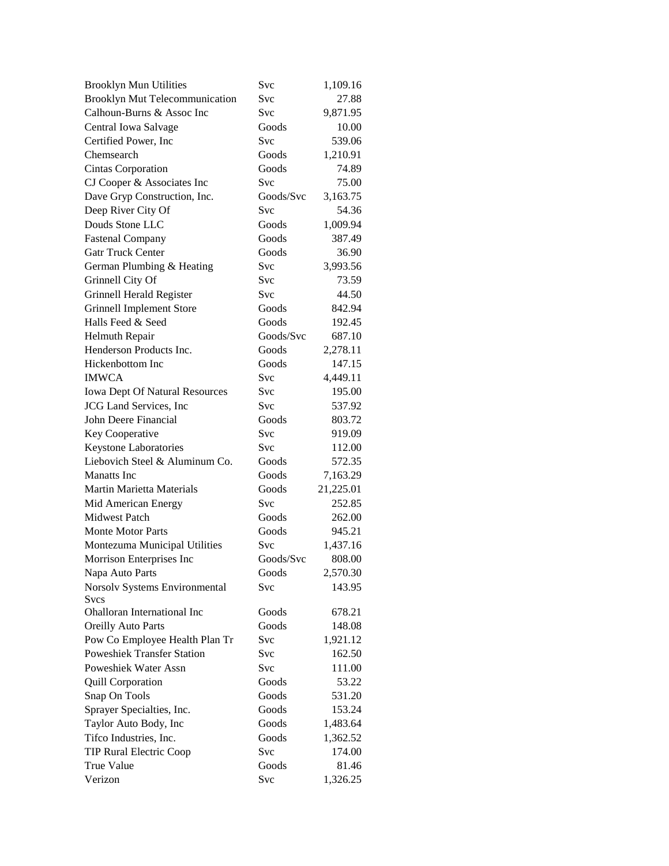| <b>Brooklyn Mun Utilities</b>         | Svc        | 1,109.16  |
|---------------------------------------|------------|-----------|
| <b>Brooklyn Mut Telecommunication</b> | Svc        | 27.88     |
| Calhoun-Burns & Assoc Inc             | Svc        | 9,871.95  |
| Central Iowa Salvage                  | Goods      | 10.00     |
| Certified Power, Inc                  | Svc        | 539.06    |
| Chemsearch                            | Goods      | 1,210.91  |
| Cintas Corporation                    | Goods      | 74.89     |
| CJ Cooper & Associates Inc            | Svc        | 75.00     |
| Dave Gryp Construction, Inc.          | Goods/Svc  | 3,163.75  |
| Deep River City Of                    | Svc        | 54.36     |
| Douds Stone LLC                       | Goods      | 1,009.94  |
| <b>Fastenal Company</b>               | Goods      | 387.49    |
| <b>Gatr Truck Center</b>              | Goods      | 36.90     |
| German Plumbing & Heating             | Svc        | 3,993.56  |
| Grinnell City Of                      | <b>Svc</b> | 73.59     |
| Grinnell Herald Register              | Svc        | 44.50     |
| <b>Grinnell Implement Store</b>       | Goods      | 842.94    |
| Halls Feed & Seed                     | Goods      | 192.45    |
| <b>Helmuth Repair</b>                 | Goods/Svc  | 687.10    |
| Henderson Products Inc.               | Goods      | 2,278.11  |
| Hickenbottom Inc                      | Goods      | 147.15    |
| <b>IMWCA</b>                          | <b>Svc</b> | 4,449.11  |
| <b>Iowa Dept Of Natural Resources</b> | <b>Svc</b> | 195.00    |
| <b>JCG</b> Land Services, Inc         | Svc        | 537.92    |
| John Deere Financial                  | Goods      | 803.72    |
| Key Cooperative                       | <b>Svc</b> | 919.09    |
| Keystone Laboratories                 | <b>Svc</b> | 112.00    |
| Liebovich Steel & Aluminum Co.        | Goods      | 572.35    |
| <b>Manatts</b> Inc                    | Goods      | 7,163.29  |
| Martin Marietta Materials             | Goods      | 21,225.01 |
| Mid American Energy                   | <b>Svc</b> | 252.85    |
| <b>Midwest Patch</b>                  | Goods      | 262.00    |
| Monte Motor Parts                     | Goods      | 945.21    |
| Montezuma Municipal Utilities         | <b>Svc</b> | 1,437.16  |
| Morrison Enterprises Inc              | Goods/Svc  | 808.00    |
| Napa Auto Parts                       | Goods      | 2,570.30  |
| Norsolv Systems Environmental         | Svc        | 143.95    |
| <b>Svcs</b>                           |            |           |
| Ohalloran International Inc           | Goods      | 678.21    |
| <b>Oreilly Auto Parts</b>             | Goods      | 148.08    |
| Pow Co Employee Health Plan Tr        | Svc        | 1,921.12  |
| <b>Poweshiek Transfer Station</b>     | Svc        | 162.50    |
| Poweshiek Water Assn                  | Svc        | 111.00    |
| <b>Quill Corporation</b>              | Goods      | 53.22     |
| Snap On Tools                         | Goods      | 531.20    |
| Sprayer Specialties, Inc.             | Goods      | 153.24    |
| Taylor Auto Body, Inc                 | Goods      | 1,483.64  |
| Tifco Industries, Inc.                | Goods      | 1,362.52  |
| <b>TIP Rural Electric Coop</b>        | <b>Svc</b> | 174.00    |
| True Value                            | Goods      | 81.46     |
| Verizon                               | Svc        | 1,326.25  |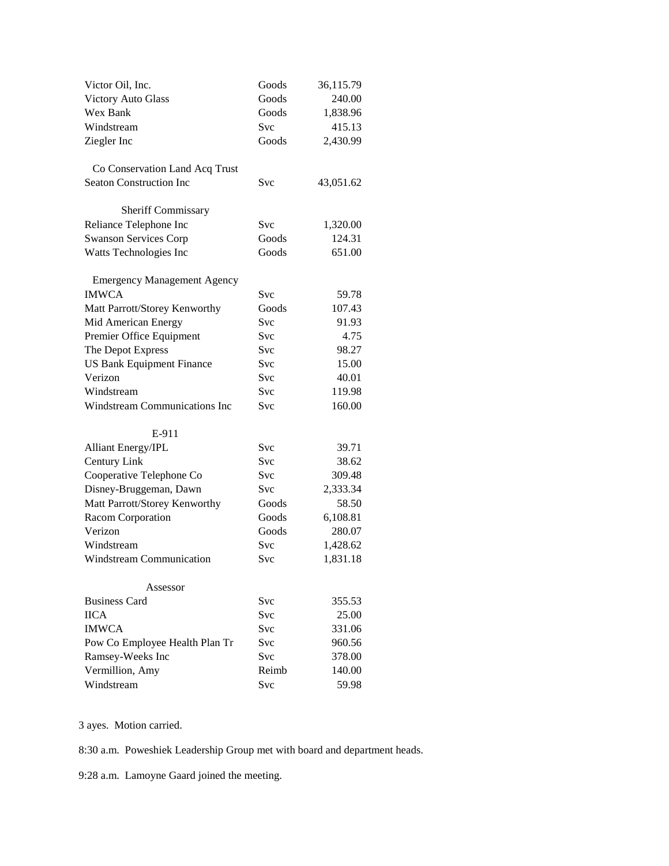| Goods<br><b>Victory Auto Glass</b><br>240.00<br>Wex Bank<br>Goods<br>1,838.96<br>415.13<br>Windstream<br><b>Svc</b><br>Ziegler Inc<br>Goods<br>2,430.99<br>Co Conservation Land Acq Trust<br><b>Seaton Construction Inc</b><br>Svc<br>43,051.62<br><b>Sheriff Commissary</b> |
|------------------------------------------------------------------------------------------------------------------------------------------------------------------------------------------------------------------------------------------------------------------------------|
|                                                                                                                                                                                                                                                                              |
|                                                                                                                                                                                                                                                                              |
|                                                                                                                                                                                                                                                                              |
|                                                                                                                                                                                                                                                                              |
|                                                                                                                                                                                                                                                                              |
|                                                                                                                                                                                                                                                                              |
|                                                                                                                                                                                                                                                                              |
|                                                                                                                                                                                                                                                                              |
|                                                                                                                                                                                                                                                                              |
| Svc<br>Reliance Telephone Inc<br>1,320.00                                                                                                                                                                                                                                    |
| <b>Swanson Services Corp</b><br>Goods<br>124.31                                                                                                                                                                                                                              |
| Goods<br>651.00<br>Watts Technologies Inc                                                                                                                                                                                                                                    |
| <b>Emergency Management Agency</b>                                                                                                                                                                                                                                           |
| <b>IMWCA</b><br>Svc<br>59.78                                                                                                                                                                                                                                                 |
| Matt Parrott/Storey Kenworthy<br>Goods<br>107.43                                                                                                                                                                                                                             |
| Mid American Energy<br><b>Svc</b><br>91.93                                                                                                                                                                                                                                   |
| Premier Office Equipment<br>4.75<br><b>Svc</b>                                                                                                                                                                                                                               |
| The Depot Express<br>98.27<br>Svc                                                                                                                                                                                                                                            |
| <b>US Bank Equipment Finance</b><br><b>Svc</b><br>15.00                                                                                                                                                                                                                      |
| Verizon<br><b>Svc</b><br>40.01                                                                                                                                                                                                                                               |
| Windstream<br><b>Svc</b><br>119.98                                                                                                                                                                                                                                           |
| Windstream Communications Inc<br>160.00<br>Svc                                                                                                                                                                                                                               |
|                                                                                                                                                                                                                                                                              |
| E-911                                                                                                                                                                                                                                                                        |
| <b>Alliant Energy/IPL</b><br><b>Svc</b><br>39.71                                                                                                                                                                                                                             |
| Century Link<br><b>Svc</b><br>38.62                                                                                                                                                                                                                                          |
| Cooperative Telephone Co<br><b>Svc</b><br>309.48                                                                                                                                                                                                                             |
| Disney-Bruggeman, Dawn<br><b>Svc</b><br>2,333.34                                                                                                                                                                                                                             |
| Matt Parrott/Storey Kenworthy<br>Goods<br>58.50                                                                                                                                                                                                                              |
| Goods<br>Racom Corporation<br>6,108.81                                                                                                                                                                                                                                       |
| Goods<br>Verizon<br>280.07                                                                                                                                                                                                                                                   |
| Windstream<br><b>Svc</b><br>1,428.62                                                                                                                                                                                                                                         |
| Windstream Communication<br><b>Svc</b><br>1,831.18                                                                                                                                                                                                                           |
| Assessor                                                                                                                                                                                                                                                                     |
| <b>Business Card</b><br><b>Svc</b><br>355.53                                                                                                                                                                                                                                 |
| <b>IICA</b><br>Svc<br>25.00                                                                                                                                                                                                                                                  |
| <b>IMWCA</b><br><b>Svc</b><br>331.06                                                                                                                                                                                                                                         |
| Pow Co Employee Health Plan Tr<br><b>Svc</b><br>960.56                                                                                                                                                                                                                       |
| Ramsey-Weeks Inc<br><b>Svc</b><br>378.00                                                                                                                                                                                                                                     |
| Vermillion, Amy<br>Reimb<br>140.00                                                                                                                                                                                                                                           |
| Windstream<br>Svc<br>59.98                                                                                                                                                                                                                                                   |

3 ayes. Motion carried.

8:30 a.m. Poweshiek Leadership Group met with board and department heads.

9:28 a.m. Lamoyne Gaard joined the meeting.